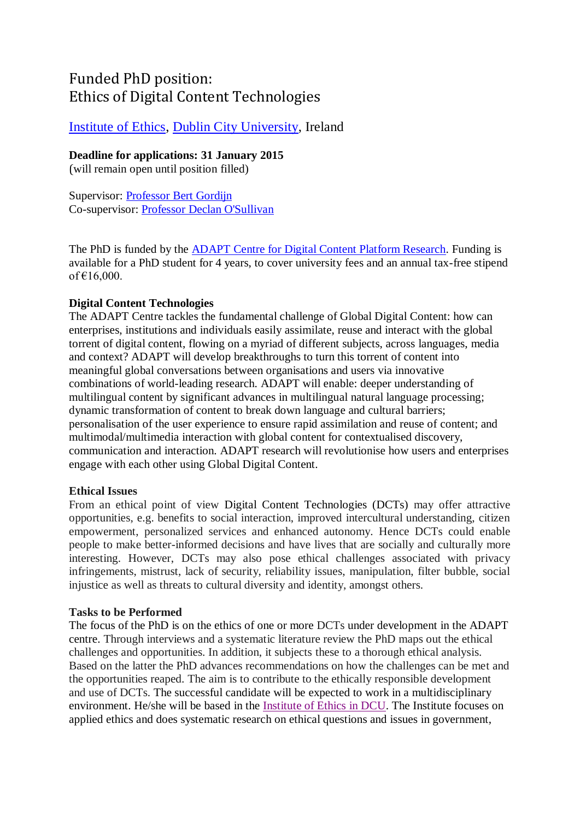# Funded PhD position: Ethics of Digital Content Technologies

# [Institute of Ethics,](http://www.dcu.ie/ethics/index.shtml) [Dublin City University,](http://www.dcu.ie/) Ireland

## **Deadline for applications: 31 January 2015**

(will remain open until position filled)

Supervisor: [Professor Bert Gordijn](http://www.dcu.ie/info/staff_member.php?id_no=3576) Co-supervisor: [Professor Declan O'Sullivan](http://people.tcd.ie/Profile?Username=osulldps)

The PhD is funded by the ADAPT [Centre for Digital Content Platform Research.](http://www.adaptcentre.ie/#2) Funding is available for a PhD student for 4 years, to cover university fees and an annual tax-free stipend of €16,000.

### **Digital Content Technologies**

The ADAPT Centre tackles the fundamental challenge of Global Digital Content: how can enterprises, institutions and individuals easily assimilate, reuse and interact with the global torrent of digital content, flowing on a myriad of different subjects, across languages, media and context? ADAPT will develop breakthroughs to turn this torrent of content into meaningful global conversations between organisations and users via innovative combinations of world-leading research. ADAPT will enable: deeper understanding of multilingual content by significant advances in multilingual natural language processing; dynamic transformation of content to break down language and cultural barriers; personalisation of the user experience to ensure rapid assimilation and reuse of content; and multimodal/multimedia interaction with global content for contextualised discovery, communication and interaction. ADAPT research will revolutionise how users and enterprises engage with each other using Global Digital Content.

#### **Ethical Issues**

From an ethical point of view Digital Content Technologies (DCTs) may offer attractive opportunities, e.g. benefits to social interaction, improved intercultural understanding, citizen empowerment, personalized services and enhanced autonomy. Hence DCTs could enable people to make better-informed decisions and have lives that are socially and culturally more interesting. However, DCTs may also pose ethical challenges associated with privacy infringements, mistrust, lack of security, reliability issues, manipulation, filter bubble, social injustice as well as threats to cultural diversity and identity, amongst others.

#### **Tasks to be Performed**

The focus of the PhD is on the ethics of one or more DCTs under development in the ADAPT centre. Through interviews and a systematic literature review the PhD maps out the ethical challenges and opportunities. In addition, it subjects these to a thorough ethical analysis. Based on the latter the PhD advances recommendations on how the challenges can be met and the opportunities reaped. The aim is to contribute to the ethically responsible development and use of DCTs. The successful candidate will be expected to work in a multidisciplinary environment. He/she will be based in the [Institute of Ethics in DCU.](http://www.dcu.ie/ethics/index.shtml) The Institute focuses on applied ethics and does systematic research on ethical questions and issues in government,